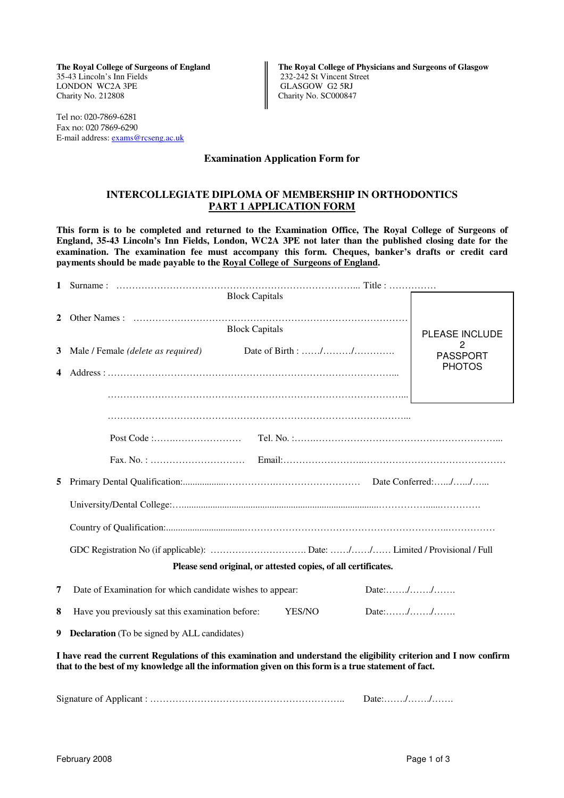35-43 Lincoln's Inn Fields 232-242 St Vincent Street LONDON WC2A 3PE<br>Charity No. 212808

Tel no: 020-7869-6281 Fax no: 020 7869-6290 E-mail address: exams@rcseng.ac.uk

The Royal College of Surgeons of England **The Royal College of Physicians and Surgeons of Glasgow** Charity No. SC000847

## **Examination Application Form for**

## **INTERCOLLEGIATE DIPLOMA OF MEMBERSHIP IN ORTHODONTICS PART 1 APPLICATION FORM**

**This form is to be completed and returned to the Examination Office, The Royal College of Surgeons of England, 35-43 Lincoln's Inn Fields, London, WC2A 3PE not later than the published closing date for the examination. The examination fee must accompany this form. Cheques, banker's drafts or credit card payments should be made payable to the Royal College of Surgeons of England.** 

|                                                                | <b>Block Capitals</b>                                                                                                                                                                                                      |                       |  |  |
|----------------------------------------------------------------|----------------------------------------------------------------------------------------------------------------------------------------------------------------------------------------------------------------------------|-----------------------|--|--|
| $\mathbf{2}$                                                   |                                                                                                                                                                                                                            |                       |  |  |
|                                                                | <b>Block Capitals</b>                                                                                                                                                                                                      | <b>PLEASE INCLUDE</b> |  |  |
| 3                                                              | Male / Female (delete as required)                                                                                                                                                                                         | <b>PASSPORT</b>       |  |  |
| 4                                                              |                                                                                                                                                                                                                            | <b>PHOTOS</b>         |  |  |
|                                                                |                                                                                                                                                                                                                            |                       |  |  |
|                                                                |                                                                                                                                                                                                                            |                       |  |  |
|                                                                |                                                                                                                                                                                                                            |                       |  |  |
|                                                                |                                                                                                                                                                                                                            |                       |  |  |
|                                                                |                                                                                                                                                                                                                            |                       |  |  |
| 5                                                              |                                                                                                                                                                                                                            |                       |  |  |
|                                                                |                                                                                                                                                                                                                            |                       |  |  |
|                                                                |                                                                                                                                                                                                                            |                       |  |  |
|                                                                |                                                                                                                                                                                                                            |                       |  |  |
| Please send original, or attested copies, of all certificates. |                                                                                                                                                                                                                            |                       |  |  |
| 7                                                              | Date://<br>Date of Examination for which candidate wishes to appear:                                                                                                                                                       |                       |  |  |
| 8                                                              | Date://<br>Have you previously sat this examination before:<br>YES/NO                                                                                                                                                      |                       |  |  |
| 9                                                              | <b>Declaration</b> (To be signed by ALL candidates)                                                                                                                                                                        |                       |  |  |
|                                                                | I have read the current Regulations of this examination and understand the eligibility criterion and I now confirm<br>that to the best of my knowledge all the information given on this form is a true statement of fact. |                       |  |  |

Signature of Applicant : …………………………………………………….. Date:……./……./…….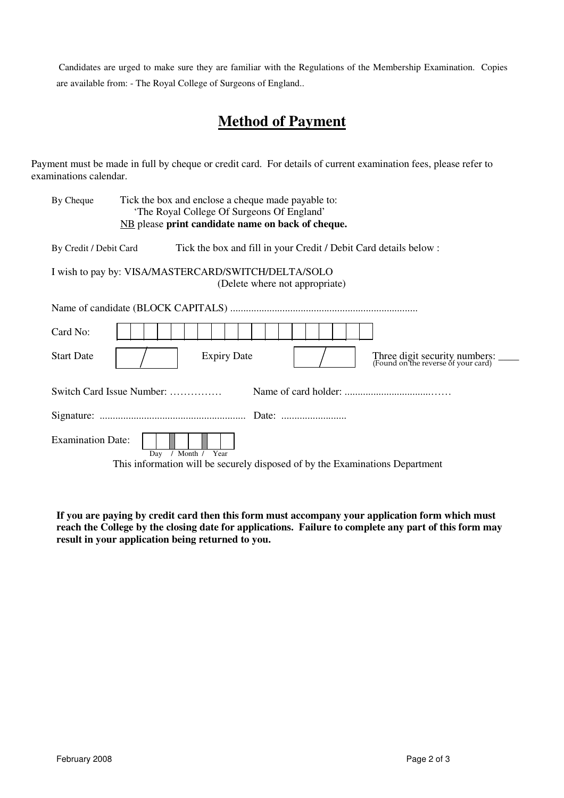Candidates are urged to make sure they are familiar with the Regulations of the Membership Examination. Copies are available from: - The Royal College of Surgeons of England..

# **Method of Payment**

Payment must be made in full by cheque or credit card. For details of current examination fees, please refer to examinations calendar.

| By Cheque                                                                             | Tick the box and enclose a cheque made payable to:<br>'The Royal College Of Surgeons Of England'<br>NB please print candidate name on back of cheque. |  |  |
|---------------------------------------------------------------------------------------|-------------------------------------------------------------------------------------------------------------------------------------------------------|--|--|
| By Credit / Debit Card                                                                | Tick the box and fill in your Credit / Debit Card details below :                                                                                     |  |  |
| I wish to pay by: VISA/MASTERCARD/SWITCH/DELTA/SOLO<br>(Delete where not appropriate) |                                                                                                                                                       |  |  |
|                                                                                       |                                                                                                                                                       |  |  |
| Card No:                                                                              |                                                                                                                                                       |  |  |
| <b>Start Date</b>                                                                     | <b>Expiry Date</b><br>Three digit security numbers: _______<br>(Found on the reverse of your card)                                                    |  |  |
| Switch Card Issue Number:                                                             |                                                                                                                                                       |  |  |
|                                                                                       |                                                                                                                                                       |  |  |
| <b>Examination Date:</b>                                                              | / Month / Year<br>Day                                                                                                                                 |  |  |
| This information will be securely disposed of by the Examinations Department          |                                                                                                                                                       |  |  |

**If you are paying by credit card then this form must accompany your application form which must reach the College by the closing date for applications. Failure to complete any part of this form may result in your application being returned to you.**